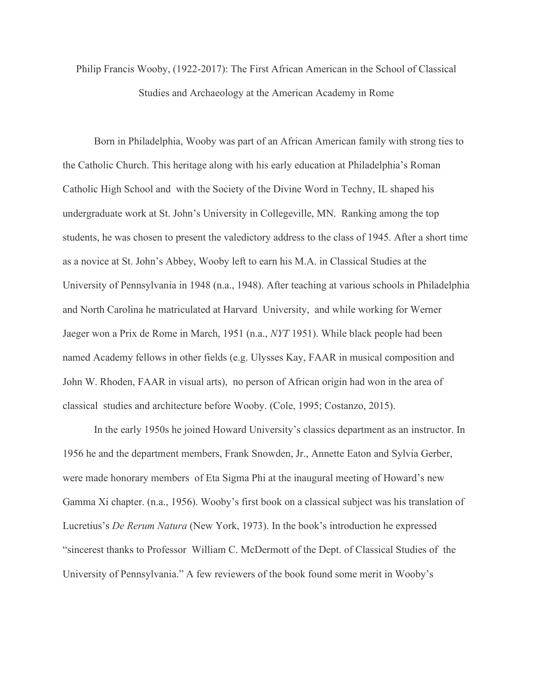Philip Francis Wooby, (1922-2017): The First African American in the School of Classical Studies and Archaeology at the American Academy in Rome

Born in Philadelphia, Wooby was part of an African American family with strong ties to the Catholic Church. This heritage along with his early education at Philadelphia's Roman Catholic High School and with the Society of the Divine Word in Techny, IL shaped his undergraduate work at St. John's University in Collegeville, MN. Ranking among the top students, he was chosen to present the valedictory address to the class of 1945. After a short time as a novice at St. John's Abbey, Wooby left to earn his M.A. in Classical Studies at the University of Pennsylvania in 1948 (n.a., 1948). After teaching at various schools in Philadelphia and North Carolina he matriculated at Harvard University, and while working for Werner Jaeger won a Prix de Rome in March, 1951 (n.a., *NYT* 1951). While black people had been named Academy fellows in other fields (e.g. Ulysses Kay, FAAR in musical composition and John W. Rhoden, FAAR in visual arts), no person of African origin had won in the area of classical studies and architecture before Wooby. (Cole, 1995; Costanzo, 2015).

In the early 1950s he joined Howard University's classics department as an instructor. In 1956 he and the department members, Frank Snowden, Jr., Annette Eaton and Sylvia Gerber, were made honorary members of Eta Sigma Phi at the inaugural meeting of Howard's new Gamma Xi chapter. (n.a., 1956). Wooby's first book on a classical subject was his translation of Lucretius's *De Rerum Natura* (New York, 1973). In the book's introduction he expressed "sincerest thanks to Professor William C. McDermott of the Dept. of Classical Studies of the University of Pennsylvania." A few reviewers of the book found some merit in Wooby's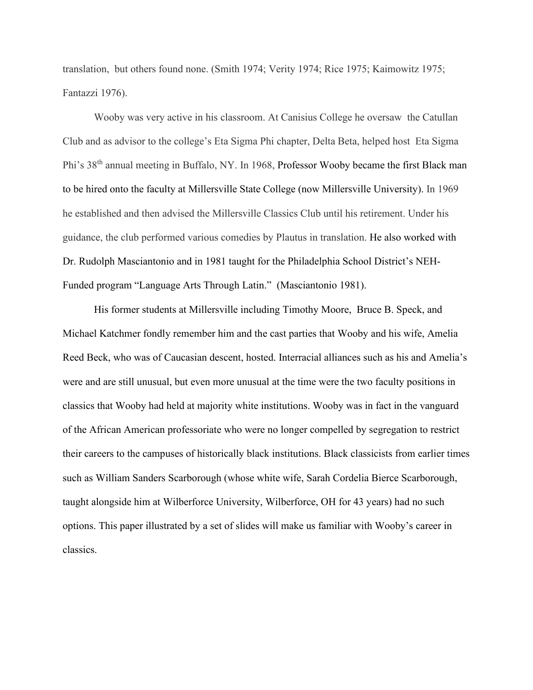translation, but others found none. (Smith 1974; Verity 1974; Rice 1975; Kaimowitz 1975; Fantazzi 1976).

Wooby was very active in his classroom. At Canisius College he oversaw the Catullan Club and as advisor to the college's Eta Sigma Phi chapter, Delta Beta, helped host Eta Sigma Phi's 38th annual meeting in Buffalo, NY. In 1968, Professor Wooby became the first Black man to be hired onto the faculty at Millersville State College (now Millersville University). In 1969 he established and then advised the Millersville Classics Club until his retirement. Under his guidance, the club performed various comedies by Plautus in translation. He also worked with Dr. Rudolph Masciantonio and in 1981 taught for the Philadelphia School District's NEH-Funded program "Language Arts Through Latin." (Masciantonio 1981).

His former students at Millersville including Timothy Moore, Bruce B. Speck, and Michael Katchmer fondly remember him and the cast parties that Wooby and his wife, Amelia Reed Beck, who was of Caucasian descent, hosted. Interracial alliances such as his and Amelia's were and are still unusual, but even more unusual at the time were the two faculty positions in classics that Wooby had held at majority white institutions. Wooby was in fact in the vanguard of the African American professoriate who were no longer compelled by segregation to restrict their careers to the campuses of historically black institutions. Black classicists from earlier times such as William Sanders Scarborough (whose white wife, Sarah Cordelia Bierce Scarborough, taught alongside him at Wilberforce University, Wilberforce, OH for 43 years) had no such options. This paper illustrated by a set of slides will make us familiar with Wooby's career in classics.